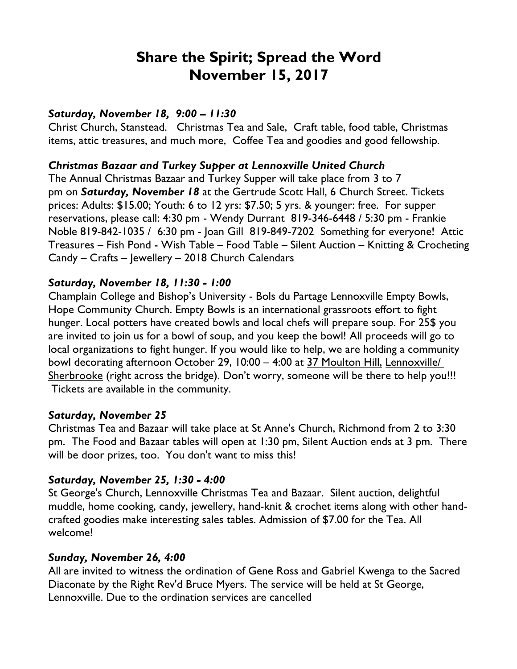# **Share the Spirit; Spread the Word November 15, 2017**

## *Saturday, November 18, 9:00 – 11:30*

Christ Church, Stanstead. Christmas Tea and Sale, Craft table, food table, Christmas items, attic treasures, and much more, Coffee Tea and goodies and good fellowship.

## *Christmas Bazaar and Turkey Supper at Lennoxville United Church*

The Annual Christmas Bazaar and Turkey Supper will take place from 3 to 7 pm on *Saturday, November 18* at the Gertrude Scott Hall, 6 Church Street. Tickets prices: Adults: \$15.00; Youth: 6 to 12 yrs: \$7.50; 5 yrs. & younger: free. For supper reservations, please call: 4:30 pm - Wendy Durrant 819-346-6448 / 5:30 pm - Frankie Noble 819-842-1035 / 6:30 pm - Joan Gill 819-849-7202 Something for everyone! Attic Treasures – Fish Pond - Wish Table – Food Table – Silent Auction – Knitting & Crocheting Candy – Crafts – Jewellery – 2018 Church Calendars

## *Saturday, November 18, 11:30 - 1:00*

Champlain College and Bishop's University - Bols du Partage Lennoxville Empty Bowls, Hope Community Church. Empty Bowls is an international grassroots effort to fight hunger. Local potters have created bowls and local chefs will prepare soup. For 25\$ you are invited to join us for a bowl of soup, and you keep the bowl! All proceeds will go to local organizations to fight hunger. If you would like to help, we are holding a community bowl decorating afternoon October 29, 10:00 – 4:00 at 37 Moulton Hill, Lennoxville/ Sherbrooke (right across the bridge). Don't worry, someone will be there to help you!!! Tickets are available in the community.

## *Saturday, November 25*

Christmas Tea and Bazaar will take place at St Anne's Church, Richmond from 2 to 3:30 pm. The Food and Bazaar tables will open at 1:30 pm, Silent Auction ends at 3 pm. There will be door prizes, too. You don't want to miss this!

## *Saturday, November 25, 1:30 - 4:00*

St George's Church, Lennoxville Christmas Tea and Bazaar. Silent auction, delightful muddle, home cooking, candy, jewellery, hand-knit & crochet items along with other handcrafted goodies make interesting sales tables. Admission of \$7.00 for the Tea. All welcome!

## *Sunday, November 26, 4:00*

All are invited to witness the ordination of Gene Ross and Gabriel Kwenga to the Sacred Diaconate by the Right Rev'd Bruce Myers. The service will be held at St George, Lennoxville. Due to the ordination services are cancelled